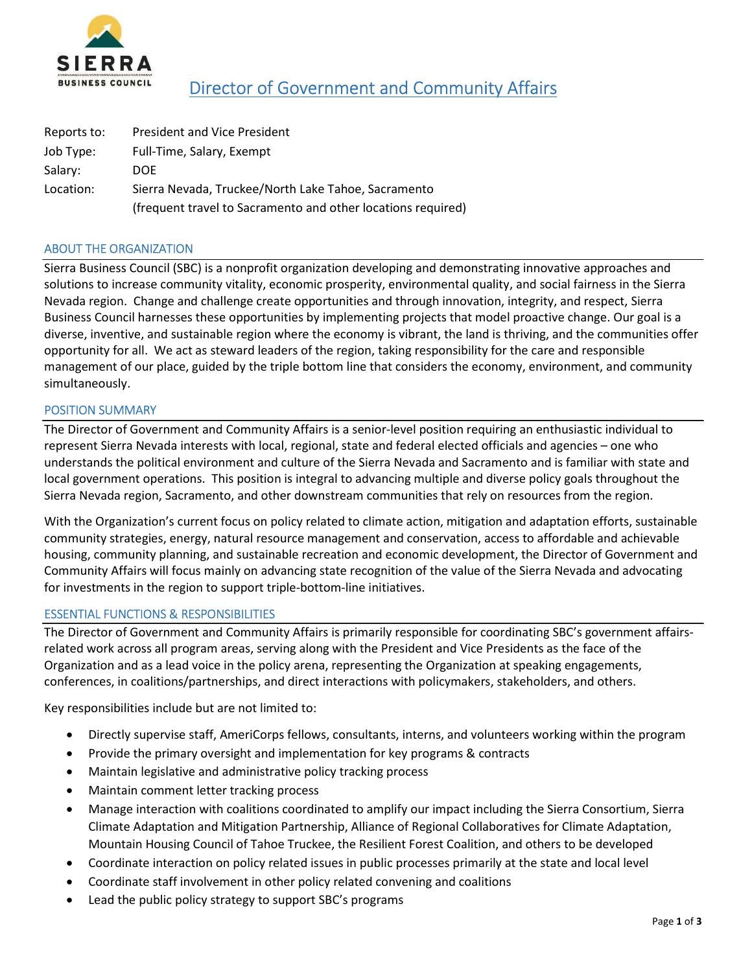

# Director of Government and Community Affairs

| Reports to: | <b>President and Vice President</b>                          |
|-------------|--------------------------------------------------------------|
| Job Type:   | Full-Time, Salary, Exempt                                    |
| Salary:     | <b>DOE</b>                                                   |
| Location:   | Sierra Nevada, Truckee/North Lake Tahoe, Sacramento          |
|             | (frequent travel to Sacramento and other locations required) |

## ABOUT THE ORGANIZATION

Sierra Business Council (SBC) is a nonprofit organization developing and demonstrating innovative approaches and solutions to increase community vitality, economic prosperity, environmental quality, and social fairness in the Sierra Nevada region. Change and challenge create opportunities and through innovation, integrity, and respect, Sierra Business Council harnesses these opportunities by implementing projects that model proactive change. Our goal is a diverse, inventive, and sustainable region where the economy is vibrant, the land is thriving, and the communities offer opportunity for all. We act as steward leaders of the region, taking responsibility for the care and responsible management of our place, guided by the triple bottom line that considers the economy, environment, and community simultaneously.

## POSITION SUMMARY

The Director of Government and Community Affairs is a senior-level position requiring an enthusiastic individual to represent Sierra Nevada interests with local, regional, state and federal elected officials and agencies – one who understands the political environment and culture of the Sierra Nevada and Sacramento and is familiar with state and local government operations. This position is integral to advancing multiple and diverse policy goals throughout the Sierra Nevada region, Sacramento, and other downstream communities that rely on resources from the region.

With the Organization's current focus on policy related to climate action, mitigation and adaptation efforts, sustainable community strategies, energy, natural resource management and conservation, access to affordable and achievable housing, community planning, and sustainable recreation and economic development, the Director of Government and Community Affairs will focus mainly on advancing state recognition of the value of the Sierra Nevada and advocating for investments in the region to support triple-bottom-line initiatives.

## ESSENTIAL FUNCTIONS & RESPONSIBILITIES

The Director of Government and Community Affairs is primarily responsible for coordinating SBC's government affairsrelated work across all program areas, serving along with the President and Vice Presidents as the face of the Organization and as a lead voice in the policy arena, representing the Organization at speaking engagements, conferences, in coalitions/partnerships, and direct interactions with policymakers, stakeholders, and others.

Key responsibilities include but are not limited to:

- Directly supervise staff, AmeriCorps fellows, consultants, interns, and volunteers working within the program
- Provide the primary oversight and implementation for key programs & contracts
- Maintain legislative and administrative policy tracking process
- Maintain comment letter tracking process
- Manage interaction with coalitions coordinated to amplify our impact including the Sierra Consortium, Sierra Climate Adaptation and Mitigation Partnership, Alliance of Regional Collaboratives for Climate Adaptation, Mountain Housing Council of Tahoe Truckee, the Resilient Forest Coalition, and others to be developed
- Coordinate interaction on policy related issues in public processes primarily at the state and local level
- Coordinate staff involvement in other policy related convening and coalitions
- Lead the public policy strategy to support SBC's programs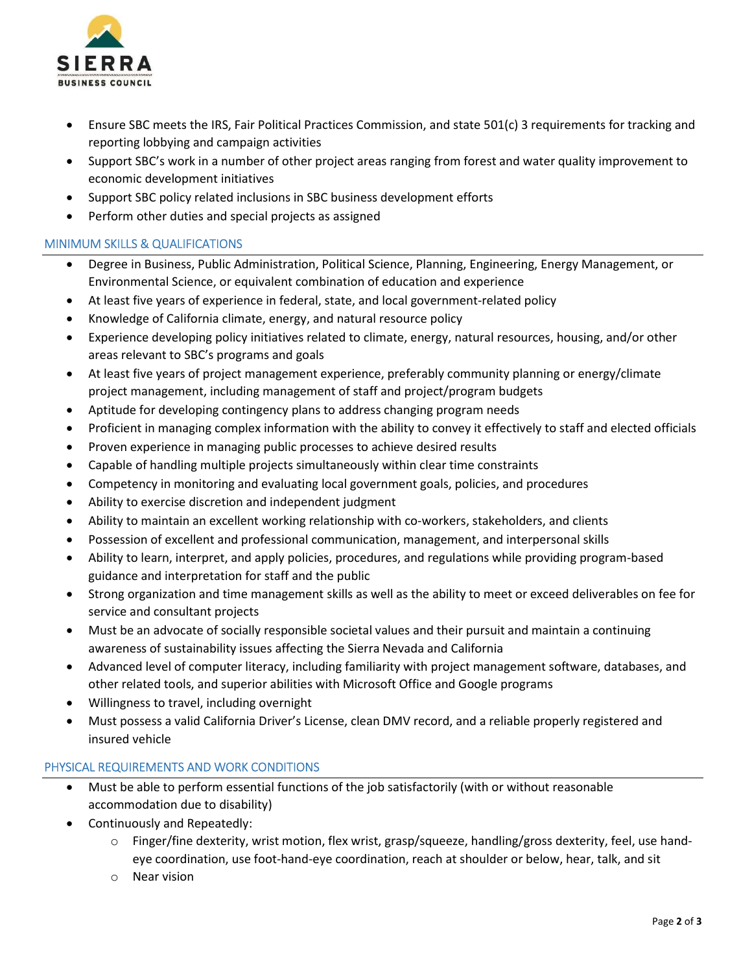

- Ensure SBC meets the IRS, Fair Political Practices Commission, and state 501(c) 3 requirements for tracking and reporting lobbying and campaign activities
- Support SBC's work in a number of other project areas ranging from forest and water quality improvement to economic development initiatives
- Support SBC policy related inclusions in SBC business development efforts
- Perform other duties and special projects as assigned

## MINIMUM SKILLS & QUALIFICATIONS

- Degree in Business, Public Administration, Political Science, Planning, Engineering, Energy Management, or Environmental Science, or equivalent combination of education and experience
- At least five years of experience in federal, state, and local government-related policy
- Knowledge of California climate, energy, and natural resource policy
- Experience developing policy initiatives related to climate, energy, natural resources, housing, and/or other areas relevant to SBC's programs and goals
- At least five years of project management experience, preferably community planning or energy/climate project management, including management of staff and project/program budgets
- Aptitude for developing contingency plans to address changing program needs
- Proficient in managing complex information with the ability to convey it effectively to staff and elected officials
- Proven experience in managing public processes to achieve desired results
- Capable of handling multiple projects simultaneously within clear time constraints
- Competency in monitoring and evaluating local government goals, policies, and procedures
- Ability to exercise discretion and independent judgment
- Ability to maintain an excellent working relationship with co-workers, stakeholders, and clients
- Possession of excellent and professional communication, management, and interpersonal skills
- Ability to learn, interpret, and apply policies, procedures, and regulations while providing program-based guidance and interpretation for staff and the public
- Strong organization and time management skills as well as the ability to meet or exceed deliverables on fee for service and consultant projects
- Must be an advocate of socially responsible societal values and their pursuit and maintain a continuing awareness of sustainability issues affecting the Sierra Nevada and California
- Advanced level of computer literacy, including familiarity with project management software, databases, and other related tools, and superior abilities with Microsoft Office and Google programs
- Willingness to travel, including overnight
- Must possess a valid California Driver's License, clean DMV record, and a reliable properly registered and insured vehicle

## PHYSICAL REQUIREMENTS AND WORK CONDITIONS

- Must be able to perform essential functions of the job satisfactorily (with or without reasonable accommodation due to disability)
- Continuously and Repeatedly:
	- $\circ$  Finger/fine dexterity, wrist motion, flex wrist, grasp/squeeze, handling/gross dexterity, feel, use handeye coordination, use foot-hand-eye coordination, reach at shoulder or below, hear, talk, and sit
	- o Near vision